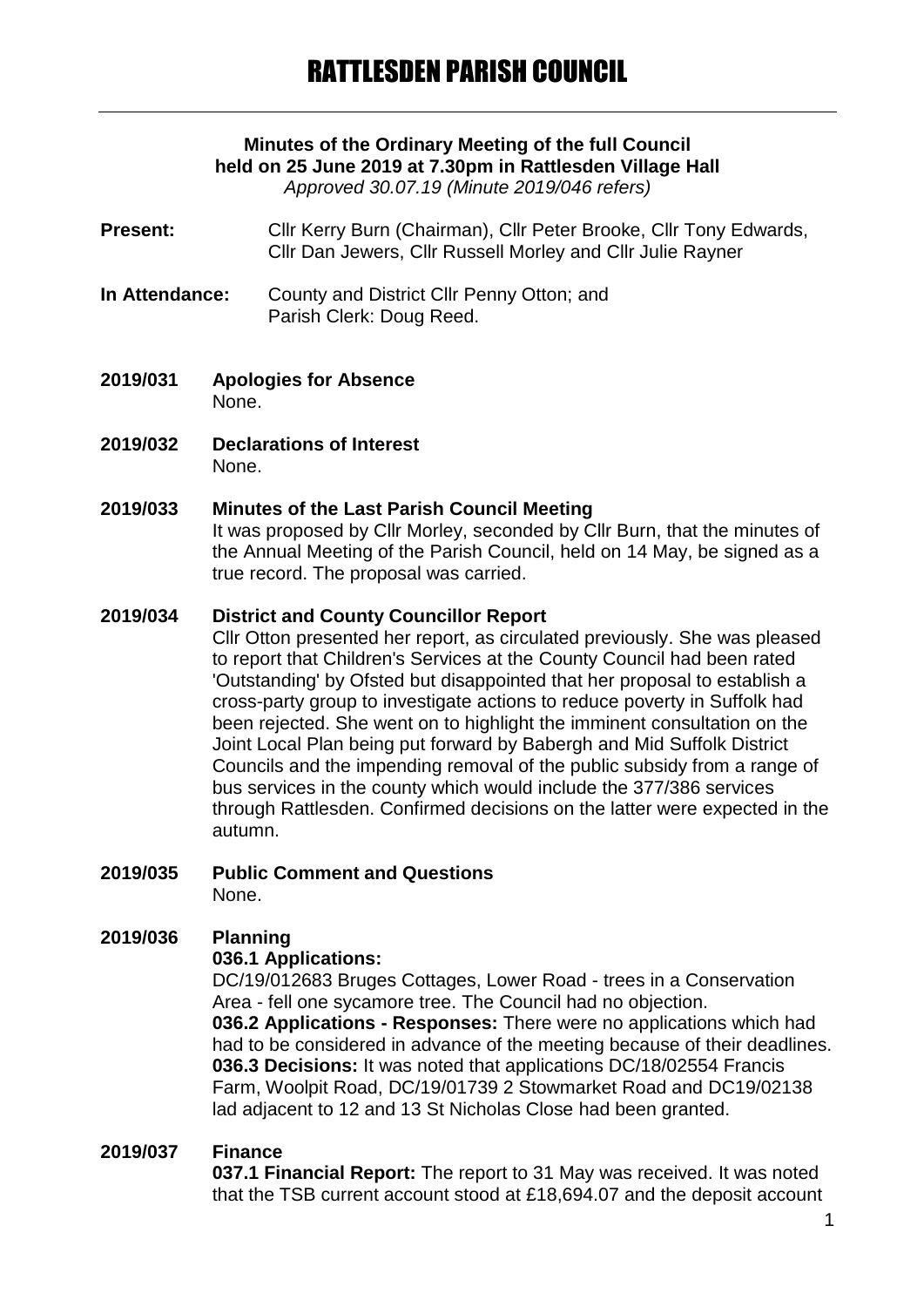## **Minutes of the Ordinary Meeting of the full Council held on 25 June 2019 at 7.30pm in Rattlesden Village Hall**

*Approved 30.07.19 (Minute 2019/046 refers)*

- Present: Cllr Kerry Burn (Chairman), Cllr Peter Brooke, Cllr Tony Edwards. Cllr Dan Jewers, Cllr Russell Morley and Cllr Julie Rayner
- **In Attendance:** County and District Cllr Penny Otton; and Parish Clerk: Doug Reed.
- **2019/031 Apologies for Absence** None.
- **2019/032 Declarations of Interest** None.

#### **2019/033 Minutes of the Last Parish Council Meeting**

It was proposed by Cllr Morley, seconded by Cllr Burn, that the minutes of the Annual Meeting of the Parish Council, held on 14 May, be signed as a true record. The proposal was carried.

#### **2019/034 District and County Councillor Report**

Cllr Otton presented her report, as circulated previously. She was pleased to report that Children's Services at the County Council had been rated 'Outstanding' by Ofsted but disappointed that her proposal to establish a cross-party group to investigate actions to reduce poverty in Suffolk had been rejected. She went on to highlight the imminent consultation on the Joint Local Plan being put forward by Babergh and Mid Suffolk District Councils and the impending removal of the public subsidy from a range of bus services in the county which would include the 377/386 services through Rattlesden. Confirmed decisions on the latter were expected in the autumn.

**2019/035 Public Comment and Questions** None.

## **2019/036 Planning**

### **036.1 Applications:**

DC/19/012683 Bruges Cottages, Lower Road - trees in a Conservation Area - fell one sycamore tree. The Council had no objection. **036.2 Applications - Responses:** There were no applications which had had to be considered in advance of the meeting because of their deadlines. **036.3 Decisions:** It was noted that applications DC/18/02554 Francis Farm, Woolpit Road, DC/19/01739 2 Stowmarket Road and DC19/02138 lad adjacent to 12 and 13 St Nicholas Close had been granted.

### **2019/037 Finance**

**037.1 Financial Report:** The report to 31 May was received. It was noted that the TSB current account stood at £18,694.07 and the deposit account